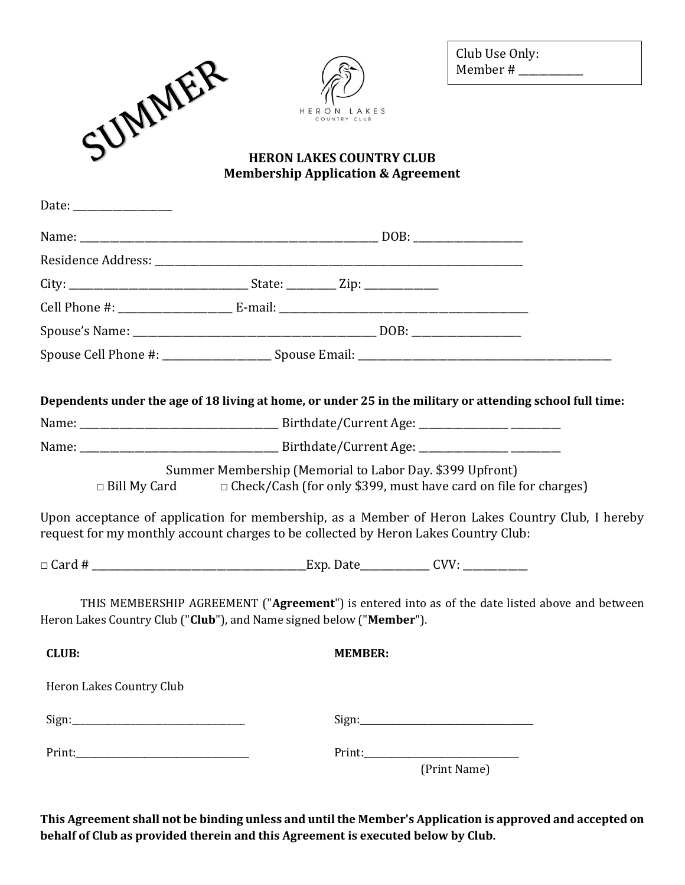|                                                                                     |                                                                                  | Club Use Only:<br>Member # $\frac{1}{2}$ Member # $\frac{1}{2}$                                                                                                                     |
|-------------------------------------------------------------------------------------|----------------------------------------------------------------------------------|-------------------------------------------------------------------------------------------------------------------------------------------------------------------------------------|
| SUMMER                                                                              | COUNTRY CLUB                                                                     |                                                                                                                                                                                     |
|                                                                                     | <b>HERON LAKES COUNTRY CLUB</b><br><b>Membership Application &amp; Agreement</b> |                                                                                                                                                                                     |
| Date: $\frac{1}{\sqrt{1-\frac{1}{2}} \cdot \frac{1}{2}}$                            |                                                                                  |                                                                                                                                                                                     |
|                                                                                     |                                                                                  |                                                                                                                                                                                     |
|                                                                                     |                                                                                  |                                                                                                                                                                                     |
|                                                                                     |                                                                                  |                                                                                                                                                                                     |
|                                                                                     |                                                                                  |                                                                                                                                                                                     |
|                                                                                     |                                                                                  |                                                                                                                                                                                     |
|                                                                                     |                                                                                  |                                                                                                                                                                                     |
| $\Box$ Bill My Card                                                                 | Summer Membership (Memorial to Labor Day. \$399 Upfront)                         | Dependents under the age of 18 living at home, or under 25 in the military or attending school full time:<br>$\Box$ Check/Cash (for only \$399, must have card on file for charges) |
| request for my monthly account charges to be collected by Heron Lakes Country Club: |                                                                                  | Upon acceptance of application for membership, as a Member of Heron Lakes Country Club, I hereby                                                                                    |
|                                                                                     |                                                                                  |                                                                                                                                                                                     |
| Heron Lakes Country Club ("Club"), and Name signed below ("Member").                |                                                                                  | THIS MEMBERSHIP AGREEMENT ("Agreement") is entered into as of the date listed above and between                                                                                     |
| <b>CLUB:</b>                                                                        | <b>MEMBER:</b>                                                                   |                                                                                                                                                                                     |
| Heron Lakes Country Club                                                            |                                                                                  |                                                                                                                                                                                     |
|                                                                                     |                                                                                  |                                                                                                                                                                                     |
|                                                                                     |                                                                                  |                                                                                                                                                                                     |
|                                                                                     |                                                                                  | (Print Name)                                                                                                                                                                        |

**This Agreement shall not be binding unless and until the Member's Application is approved and accepted on behalf of Club as provided therein and this Agreement is executed below by Club.**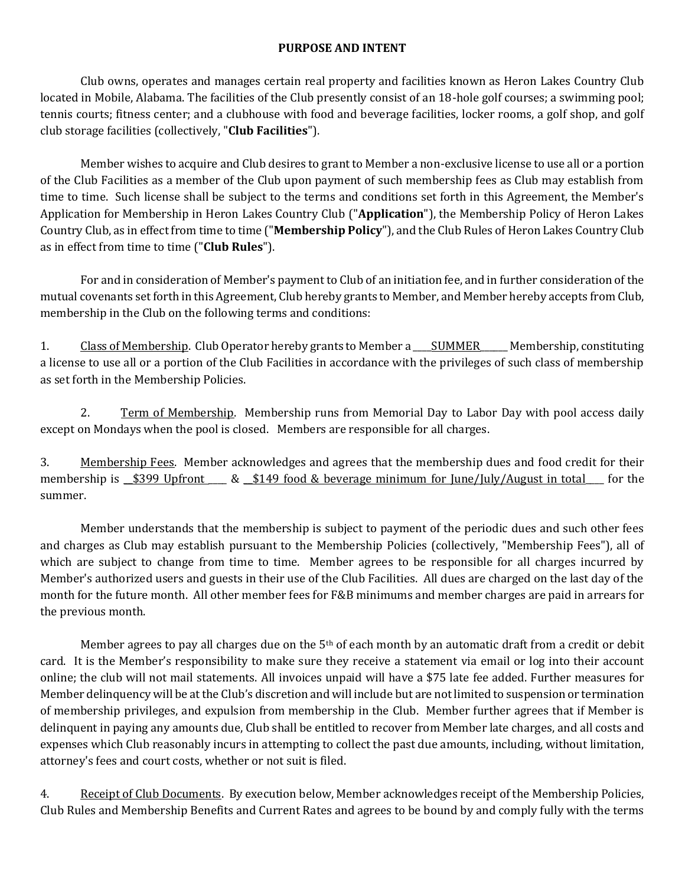## **PURPOSE AND INTENT**

Club owns, operates and manages certain real property and facilities known as Heron Lakes Country Club located in Mobile, Alabama. The facilities of the Club presently consist of an 18-hole golf courses; a swimming pool; tennis courts; fitness center; and a clubhouse with food and beverage facilities, locker rooms, a golf shop, and golf club storage facilities (collectively, "**Club Facilities**").

Member wishes to acquire and Club desires to grant to Member a non-exclusive license to use all or a portion of the Club Facilities as a member of the Club upon payment of such membership fees as Club may establish from time to time. Such license shall be subject to the terms and conditions set forth in this Agreement, the Member's Application for Membership in Heron Lakes Country Club ("**Application**"), the Membership Policy of Heron Lakes Country Club, as in effect from time to time ("**Membership Policy**"), and the Club Rules of Heron Lakes Country Club as in effect from time to time ("**Club Rules**").

For and in consideration of Member's payment to Club of an initiation fee, and in further consideration of the mutual covenants set forth in this Agreement, Club hereby grants to Member, and Member hereby accepts from Club, membership in the Club on the following terms and conditions:

1. Class of Membership. Club Operator hereby grants to Member a \_\_\_\_\_\_SUMMER\_\_\_\_\_\_ Membership, constituting a license to use all or a portion of the Club Facilities in accordance with the privileges of such class of membership as set forth in the Membership Policies.

2. Term of Membership. Membership runs from Memorial Day to Labor Day with pool access daily except on Mondays when the pool is closed. Members are responsible for all charges.

3. Membership Fees. Member acknowledges and agrees that the membership dues and food credit for their membership is  $\frac{\$399 \text{ Upfront}}{\$49 \text{ food } \& \text{beverage minimum for June/July/August in total}}$  for the summer.

Member understands that the membership is subject to payment of the periodic dues and such other fees and charges as Club may establish pursuant to the Membership Policies (collectively, "Membership Fees"), all of which are subject to change from time to time. Member agrees to be responsible for all charges incurred by Member's authorized users and guests in their use of the Club Facilities. All dues are charged on the last day of the month for the future month. All other member fees for F&B minimums and member charges are paid in arrears for the previous month.

Member agrees to pay all charges due on the 5<sup>th</sup> of each month by an automatic draft from a credit or debit card. It is the Member's responsibility to make sure they receive a statement via email or log into their account online; the club will not mail statements. All invoices unpaid will have a \$75 late fee added. Further measures for Member delinquency will be at the Club's discretion and will include but are not limited to suspension or termination of membership privileges, and expulsion from membership in the Club. Member further agrees that if Member is delinquent in paying any amounts due, Club shall be entitled to recover from Member late charges, and all costs and expenses which Club reasonably incurs in attempting to collect the past due amounts, including, without limitation, attorney's fees and court costs, whether or not suit is filed.

4. Receipt of Club Documents. By execution below, Member acknowledges receipt of the Membership Policies, Club Rules and Membership Benefits and Current Rates and agrees to be bound by and comply fully with the terms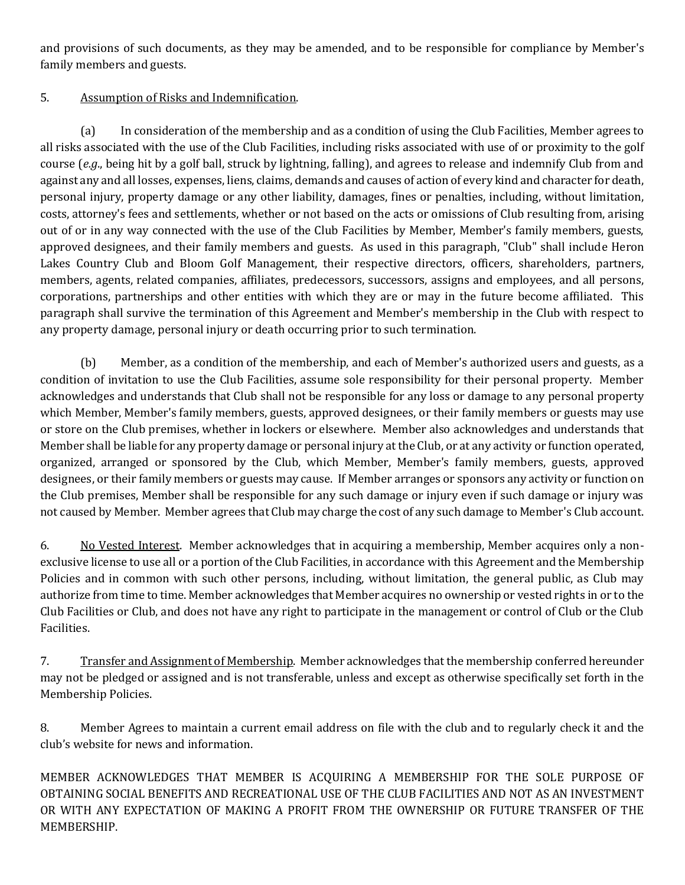and provisions of such documents, as they may be amended, and to be responsible for compliance by Member's family members and guests.

## 5. Assumption of Risks and Indemnification.

(a) In consideration of the membership and as a condition of using the Club Facilities, Member agrees to all risks associated with the use of the Club Facilities, including risks associated with use of or proximity to the golf course (*e.g*., being hit by a golf ball, struck by lightning, falling), and agrees to release and indemnify Club from and against any and all losses, expenses, liens, claims, demands and causes of action of every kind and character for death, personal injury, property damage or any other liability, damages, fines or penalties, including, without limitation, costs, attorney's fees and settlements, whether or not based on the acts or omissions of Club resulting from, arising out of or in any way connected with the use of the Club Facilities by Member, Member's family members, guests, approved designees, and their family members and guests. As used in this paragraph, "Club" shall include Heron Lakes Country Club and Bloom Golf Management, their respective directors, officers, shareholders, partners, members, agents, related companies, affiliates, predecessors, successors, assigns and employees, and all persons, corporations, partnerships and other entities with which they are or may in the future become affiliated. This paragraph shall survive the termination of this Agreement and Member's membership in the Club with respect to any property damage, personal injury or death occurring prior to such termination.

(b) Member, as a condition of the membership, and each of Member's authorized users and guests, as a condition of invitation to use the Club Facilities, assume sole responsibility for their personal property. Member acknowledges and understands that Club shall not be responsible for any loss or damage to any personal property which Member, Member's family members, guests, approved designees, or their family members or guests may use or store on the Club premises, whether in lockers or elsewhere. Member also acknowledges and understands that Member shall be liable for any property damage or personal injury at the Club, or at any activity or function operated, organized, arranged or sponsored by the Club, which Member, Member's family members, guests, approved designees, or their family members or guests may cause. If Member arranges or sponsors any activity or function on the Club premises, Member shall be responsible for any such damage or injury even if such damage or injury was not caused by Member. Member agrees that Club may charge the cost of any such damage to Member's Club account.

6. No Vested Interest. Member acknowledges that in acquiring a membership, Member acquires only a nonexclusive license to use all or a portion of the Club Facilities, in accordance with this Agreement and the Membership Policies and in common with such other persons, including, without limitation, the general public, as Club may authorize from time to time. Member acknowledges that Member acquires no ownership or vested rights in or to the Club Facilities or Club, and does not have any right to participate in the management or control of Club or the Club Facilities.

7. Transfer and Assignment of Membership. Member acknowledges that the membership conferred hereunder may not be pledged or assigned and is not transferable, unless and except as otherwise specifically set forth in the Membership Policies.

8. Member Agrees to maintain a current email address on file with the club and to regularly check it and the club's website for news and information.

MEMBER ACKNOWLEDGES THAT MEMBER IS ACQUIRING A MEMBERSHIP FOR THE SOLE PURPOSE OF OBTAINING SOCIAL BENEFITS AND RECREATIONAL USE OF THE CLUB FACILITIES AND NOT AS AN INVESTMENT OR WITH ANY EXPECTATION OF MAKING A PROFIT FROM THE OWNERSHIP OR FUTURE TRANSFER OF THE MEMBERSHIP.